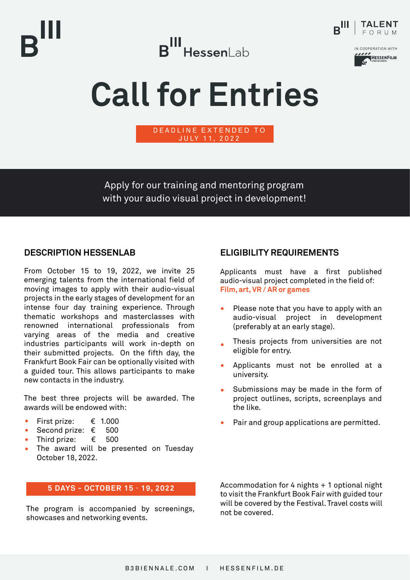







# **Call for Entries**

D EADLINE EXTENDED TO JULY 11, 2022

Apply for our training and mentoring program

with your audio visual project in development!

**DESCRIPTION HESSENLAB**

From October 15 to 19, 2022, we invite 25 emerging talents from the international field of moving images to apply with their audio-visual projects in the early stages of development for an intense four day training experience. Through thematic workshops and masterclasses with renowned international professionals from varying areas of the media and creative industries participants will work in-depth on their submitted projects. On the fifth day, the Frankfurt Book Fair can be optionally visited with a guided tour. This allows participants to make new contacts in the industry.

The best three projects will be awarded. The awards will be endowed with:

- First prize: € 1.000
- Second prize: € 500
- Third prize:  $\epsilon$  500
- The award will be presented on Tuesday October 18, 2022.

#### **5 DAYS - OCTOBER 15** - **19, 2022**

The program is accompanied by screenings, showcases and networking events.

#### **ELIGIBILITY REQUIREMENTS**

Applicants must have a first published audio-visual project completed in the field of: **Film, art, VR / AR or games**

- Please note that you have to apply with an audio-visual project in development (preferably at an early stage).
- Thesis projects from universities are not eligible for entry.
- Applicants must not be enrolled at a university.
- Submissions may be made in the form of project outlines, scripts, screenplays and the like.
- Pair and group applications are permitted.

Accommodation for 4 nights + 1 optional night to visit the Frankfurt Book Fair with guided tour will be covered by the Festival. Travel costs will not be covered.